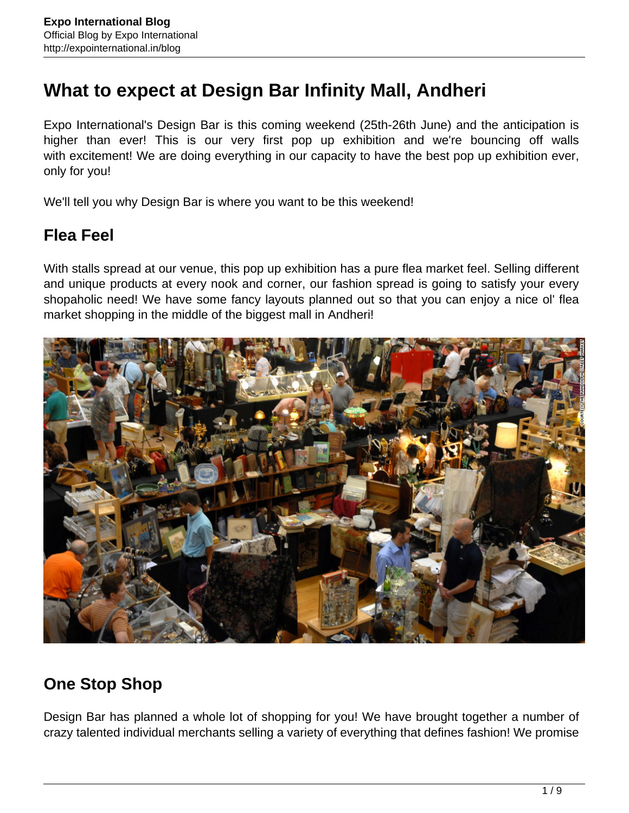# **What to expect at Design Bar Infinity Mall, Andheri**

Expo International's Design Bar is this coming weekend (25th-26th June) and the anticipation is higher than ever! This is our very first pop up exhibition and we're bouncing off walls with excitement! We are doing everything in our capacity to have the best pop up exhibition ever, only for you!

We'll tell you why Design Bar is where you want to be this weekend!

#### **Flea Feel**

With stalls spread at our venue, this pop up exhibition has a pure flea market feel. Selling different and unique products at every nook and corner, our fashion spread is going to satisfy your every shopaholic need! We have some fancy layouts planned out so that you can enjoy a nice ol' flea market shopping in the middle of the biggest mall in Andheri!



## **One Stop Shop**

Design Bar has planned a whole lot of shopping for you! We have brought together a number of crazy talented individual merchants selling a variety of everything that defines fashion! We promise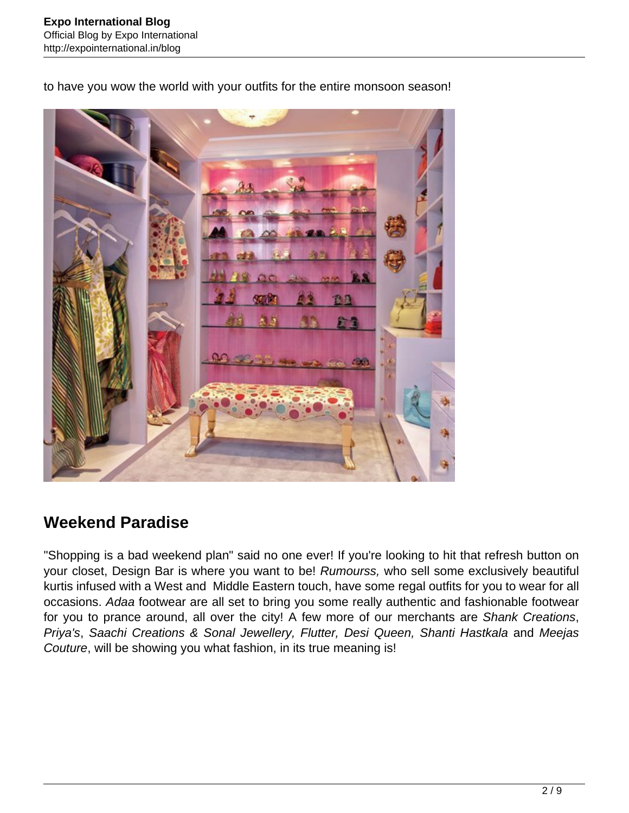to have you wow the world with your outfits for the entire monsoon season!



## **Weekend Paradise**

"Shopping is a bad weekend plan" said no one ever! If you're looking to hit that refresh button on your closet, Design Bar is where you want to be! Rumourss, who sell some exclusively beautiful kurtis infused with a West and Middle Eastern touch, have some regal outfits for you to wear for all occasions. Adaa footwear are all set to bring you some really authentic and fashionable footwear for you to prance around, all over the city! A few more of our merchants are Shank Creations, Priya's, Saachi Creations & Sonal Jewellery, Flutter, Desi Queen, Shanti Hastkala and Meejas Couture, will be showing you what fashion, in its true meaning is!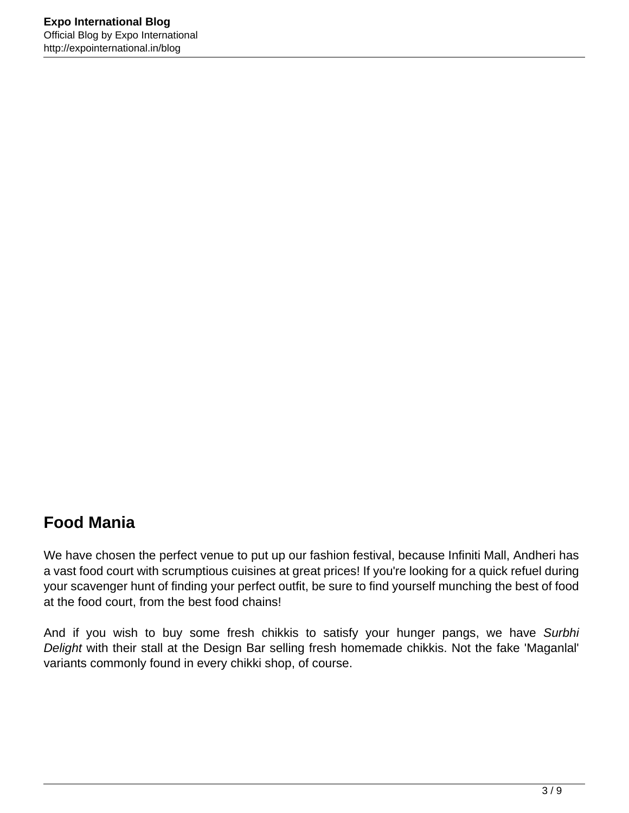## **Food Mania**

We have chosen the perfect venue to put up our fashion festival, because Infiniti Mall, Andheri has a vast food court with scrumptious cuisines at great prices! If you're looking for a quick refuel during your scavenger hunt of finding your perfect outfit, be sure to find yourself munching the best of food at the food court, from the best food chains!

And if you wish to buy some fresh chikkis to satisfy your hunger pangs, we have Surbhi Delight with their stall at the Design Bar selling fresh homemade chikkis. Not the fake 'Maganlal' variants commonly found in every chikki shop, of course.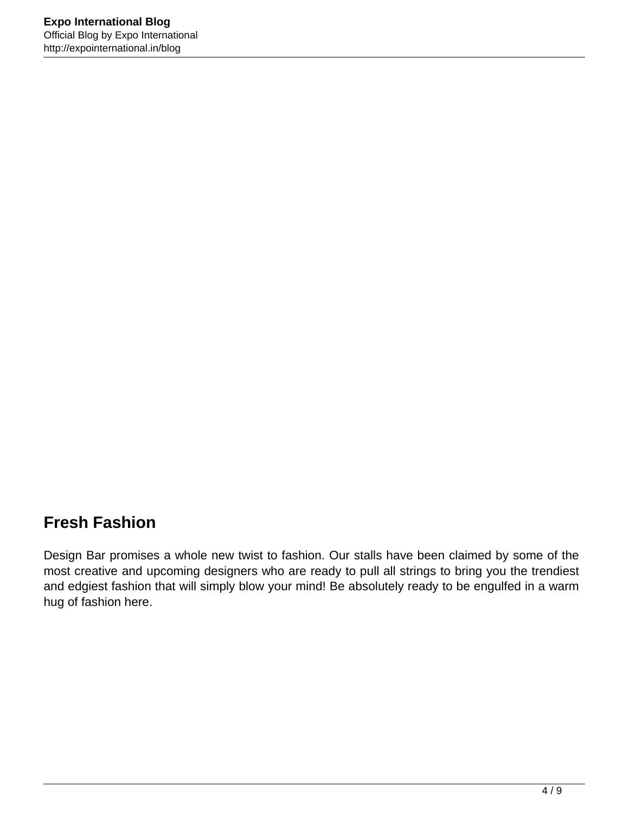#### **Fresh Fashion**

Design Bar promises a whole new twist to fashion. Our stalls have been claimed by some of the most creative and upcoming designers who are ready to pull all strings to bring you the trendiest and edgiest fashion that will simply blow your mind! Be absolutely ready to be engulfed in a warm hug of fashion here.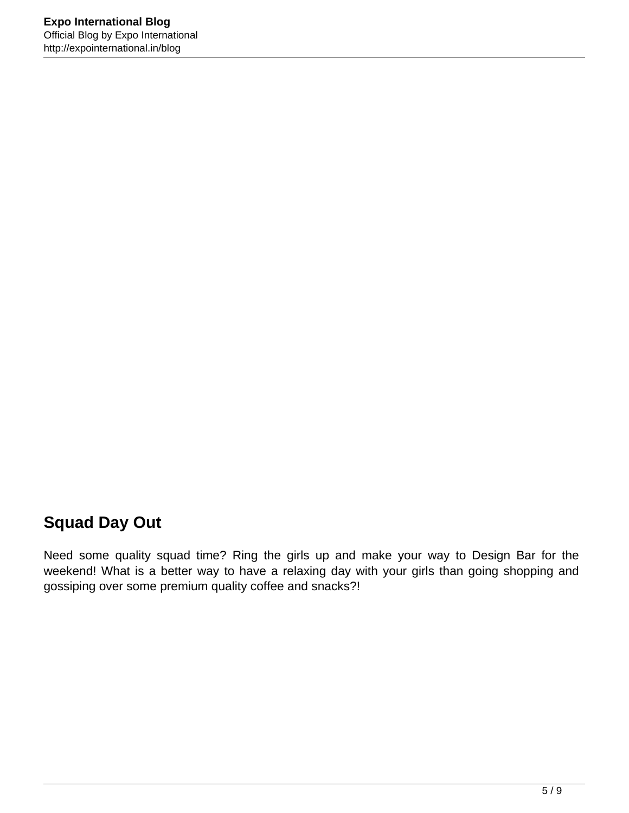## **Squad Day Out**

Need some quality squad time? Ring the girls up and make your way to Design Bar for the weekend! What is a better way to have a relaxing day with your girls than going shopping and gossiping over some premium quality coffee and snacks?!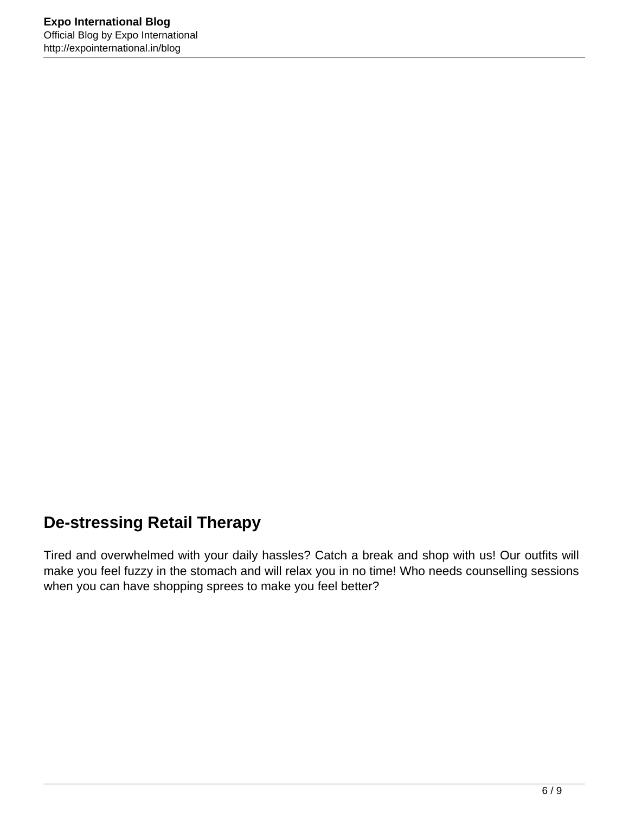## **De-stressing Retail Therapy**

Tired and overwhelmed with your daily hassles? Catch a break and shop with us! Our outfits will make you feel fuzzy in the stomach and will relax you in no time! Who needs counselling sessions when you can have shopping sprees to make you feel better?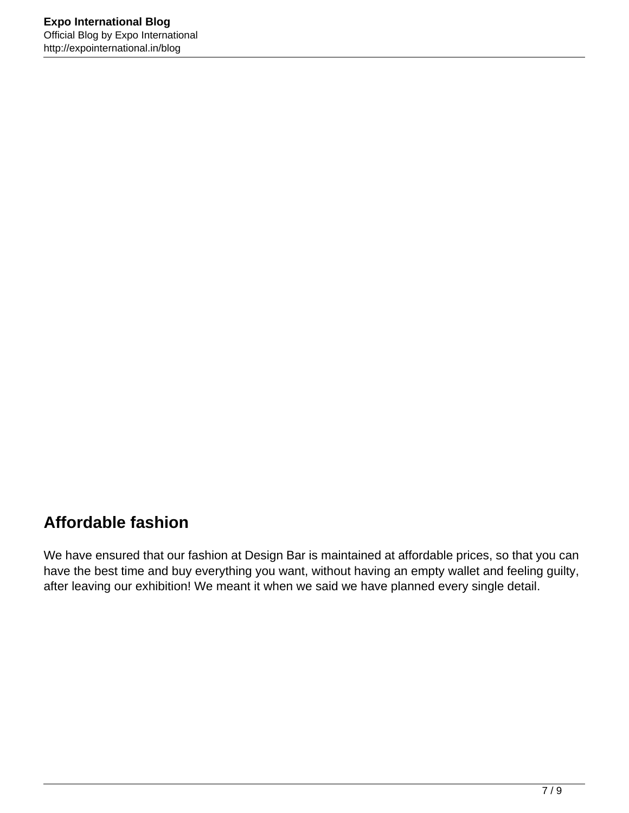## **Affordable fashion**

We have ensured that our fashion at Design Bar is maintained at affordable prices, so that you can have the best time and buy everything you want, without having an empty wallet and feeling guilty, after leaving our exhibition! We meant it when we said we have planned every single detail.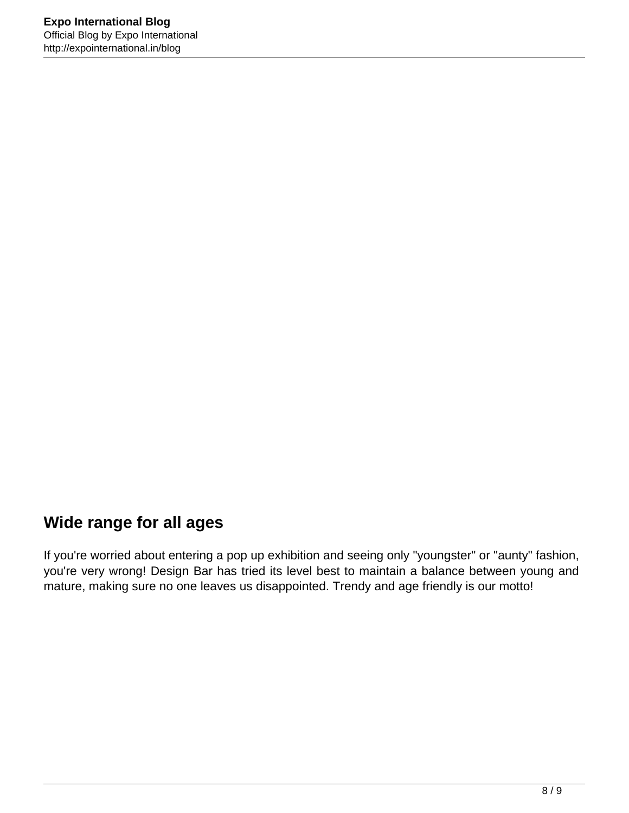#### **Wide range for all ages**

If you're worried about entering a pop up exhibition and seeing only "youngster" or "aunty" fashion, you're very wrong! Design Bar has tried its level best to maintain a balance between young and mature, making sure no one leaves us disappointed. Trendy and age friendly is our motto!